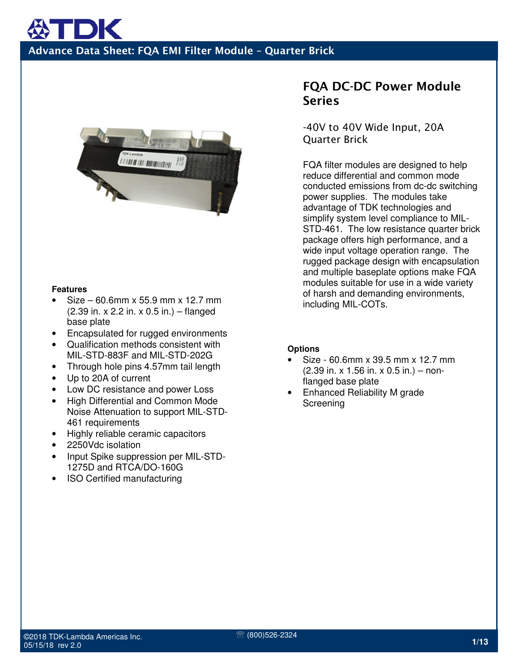

#### **Features**

- Size 60.6mm x 55.9 mm x 12.7 mm (2.39 in. x 2.2 in. x 0.5 in.) – flanged base plate
- Encapsulated for rugged environments
- Qualification methods consistent with MIL-STD-883F and MIL-STD-202G
- Through hole pins 4.57mm tail length
- Up to 20A of current
- Low DC resistance and power Loss
- High Differential and Common Mode Noise Attenuation to support MIL-STD-461 requirements
- Highly reliable ceramic capacitors
- 2250Vdc isolation
- Input Spike suppression per MIL-STD-1275D and RTCA/DO-160G
- ISO Certified manufacturing

#### FQA DC-DC Power Module **Series**

-40V to 40V Wide Input, 20A Quarter Brick

FQA filter modules are designed to help reduce differential and common mode conducted emissions from dc-dc switching power supplies. The modules take advantage of TDK technologies and simplify system level compliance to MIL-STD-461. The low resistance quarter brick package offers high performance, and a wide input voltage operation range. The rugged package design with encapsulation and multiple baseplate options make FQA modules suitable for use in a wide variety of harsh and demanding environments, including MIL-COTs.

#### **Options**

- Size 60.6mm x 39.5 mm x 12.7 mm (2.39 in. x 1.56 in. x 0.5 in.) – nonflanged base plate
- Enhanced Reliability M grade **Screening**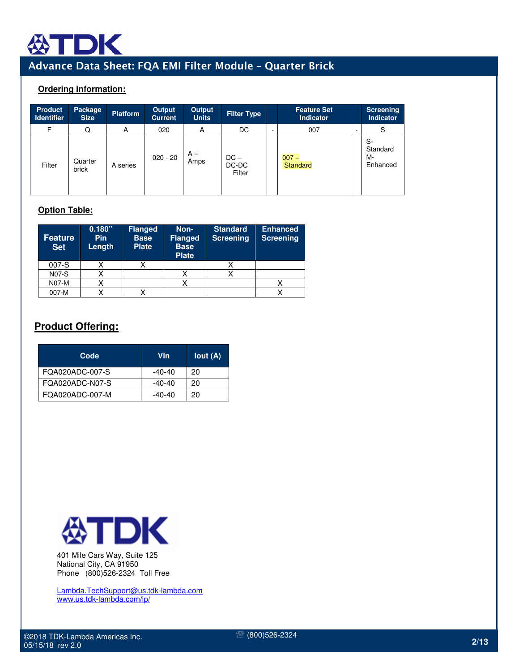

#### **Ordering information:**

| <b>Product</b><br><b>Identifier</b> | <b>Package</b><br><b>Size</b> | <b>Platform</b> | Output<br><b>Current</b> | Output<br><b>Units</b> | <b>Filter Type</b>        |   | <b>Feature Set</b><br>Indicator | Screening<br>Indicator           |
|-------------------------------------|-------------------------------|-----------------|--------------------------|------------------------|---------------------------|---|---------------------------------|----------------------------------|
| F                                   | Q                             | A               | 020                      | A                      | DC                        | ۰ | 007                             | S                                |
| Filter                              | Quarter<br>brick              | A series        | $020 - 20$               | $A -$<br>Amps          | $DC -$<br>DC-DC<br>Filter |   | $007 -$<br>Standard             | S-<br>Standard<br>М-<br>Enhanced |

#### **Option Table:**

| <b>Feature</b><br><b>Set</b> | 0.180"<br><b>Pin</b><br>Length | <b>Flanged</b><br><b>Base</b><br><b>Plate</b> | Non-<br><b>Flanged</b><br><b>Base</b><br><b>Plate</b> | <b>Standard</b><br>Screening | <b>Enhanced</b><br><b>Screening</b> |
|------------------------------|--------------------------------|-----------------------------------------------|-------------------------------------------------------|------------------------------|-------------------------------------|
| $007-S$                      |                                |                                               |                                                       |                              |                                     |
| <b>N07-S</b>                 |                                |                                               |                                                       |                              |                                     |
| <b>N07-M</b>                 |                                |                                               |                                                       |                              |                                     |
| 007-M                        |                                |                                               |                                                       |                              |                                     |

#### **Product Offering:**

| Code            | Vin    | Iout(A) |
|-----------------|--------|---------|
| FQA020ADC-007-S | -40-40 | 20      |
| FQA020ADC-N07-S | -40-40 | 20      |
| FQA020ADC-007-M | -40-40 | 20      |



401 Mile Cars Way, Suite 125 National City, CA 91950 Phone (800)526-2324 Toll Free

Lambda.TechSupport@us.tdk-lambda.com www.us.tdk-lambda.com/lp/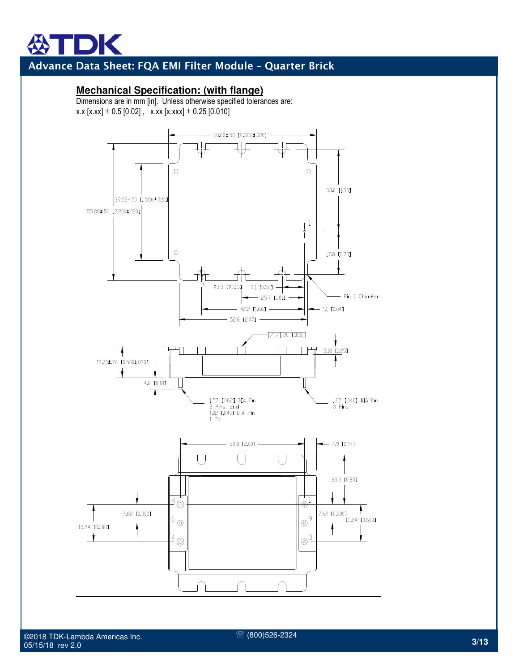#### **Mechanical Specification: (with flange)**

Dimensions are in mm [in]. Unless otherwise specified tolerances are: x.x  $[x.xx] \pm 0.5$  [0.02], x.xx  $[x.xxx] \pm 0.25$  [0.010]



℡ (800)526-2324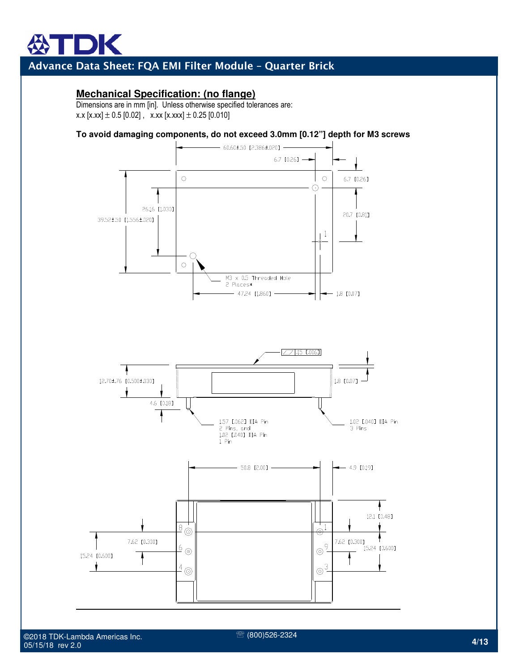#### **Mechanical Specification: (no flange)**

Dimensions are in mm [in]. Unless otherwise specified tolerances are: x.x  $[x.xx] \pm 0.5$  [0.02], x.xx  $[x.xx] \pm 0.25$  [0.010]

#### **To avoid damaging components, do not exceed 3.0mm [0.12"] depth for M3 screws**





15.24 [0.600]

7.62 [0.300]

 $\frac{6}{9}$ 

 $4\circledcirc$ 

℡ (800)526-2324

7.62 [0.300]

15.24 [0.600]

 $| \circ )$ 

 $\odot^3$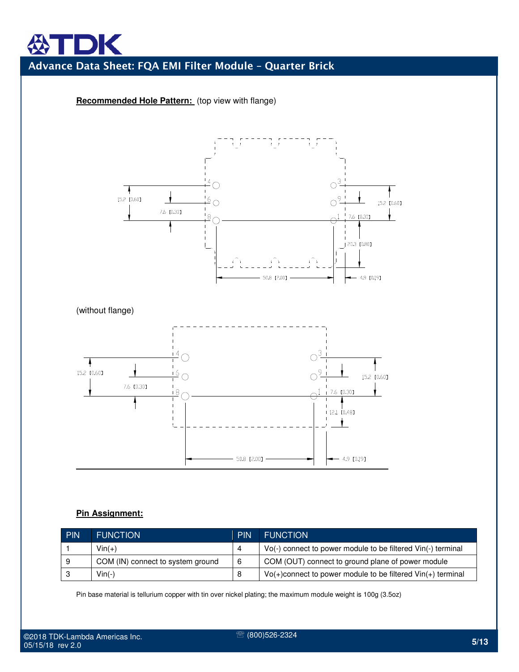# 

## Advance Data Sheet: FQA EMI Filter Module – Quarter Brick

#### **Recommended Hole Pattern:** (top view with flange)



(without flange)



#### **Pin Assignment:**

| <b>PIN</b> | <b>FUNCTION</b>                   | <b>PIN</b> | <b>FUNCTION</b>                                                   |
|------------|-----------------------------------|------------|-------------------------------------------------------------------|
|            | $Vin(+)$                          |            | Vo(-) connect to power module to be filtered Vin(-) terminal      |
| 9          | COM (IN) connect to system ground |            | COM (OUT) connect to ground plane of power module                 |
|            | $Vin(-)$                          |            | $Vo(+)$ connect to power module to be filtered $ Vin(+)$ terminal |

Pin base material is tellurium copper with tin over nickel plating; the maximum module weight is 100g (3.5oz)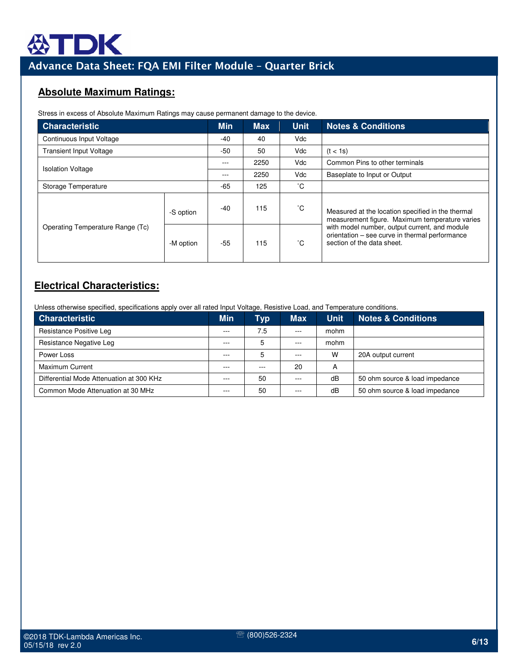

#### **Absolute Maximum Ratings:**

Stress in excess of Absolute Maximum Ratings may cause permanent damage to the device.

| <b>Characteristic</b>            | <b>Min</b> | <b>Max</b> | <b>Unit</b> | <b>Notes &amp; Conditions</b> |                                                                                                                               |
|----------------------------------|------------|------------|-------------|-------------------------------|-------------------------------------------------------------------------------------------------------------------------------|
| Continuous Input Voltage         | $-40$      | 40         | Vdc         |                               |                                                                                                                               |
| <b>Transient Input Voltage</b>   |            | -50        | 50          | <b>Vdc</b>                    | (t < 1s)                                                                                                                      |
| <b>Isolation Voltage</b>         |            | ---        | 2250        | Vdc.                          | Common Pins to other terminals                                                                                                |
|                                  | ---        | 2250       | Vdc         | Baseplate to Input or Output  |                                                                                                                               |
| Storage Temperature              | $-65$      | 125        | °С          |                               |                                                                                                                               |
|                                  | -S option  | $-40$      | 115         | °С                            | Measured at the location specified in the thermal<br>measurement figure. Maximum temperature varies                           |
| Operating Temperature Range (Tc) | -M option  | $-55$      | 115         | °С                            | with model number, output current, and module<br>orientation - see curve in thermal performance<br>section of the data sheet. |

#### **Electrical Characteristics:**

Unless otherwise specified, specifications apply over all rated Input Voltage, Resistive Load, and Temperature conditions.

| <b>Characteristic</b>                    | <b>Min</b> | Typ | <b>Max</b> | <b>Unit</b> | <b>Notes &amp; Conditions</b>  |
|------------------------------------------|------------|-----|------------|-------------|--------------------------------|
| Resistance Positive Leg                  | ---        | 7.5 | $- - -$    | mohm        |                                |
| Resistance Negative Leg                  | ---        | 5   | $- - -$    | mohm        |                                |
| Power Loss                               | ---        | 5   | $- - -$    | W           | 20A output current             |
| <b>Maximum Current</b>                   | ---        |     | 20         | А           |                                |
| Differential Mode Attenuation at 300 KHz |            | 50  |            | dB          | 50 ohm source & load impedance |
| Common Mode Attenuation at 30 MHz        |            | 50  | $- - -$    | dB          | 50 ohm source & load impedance |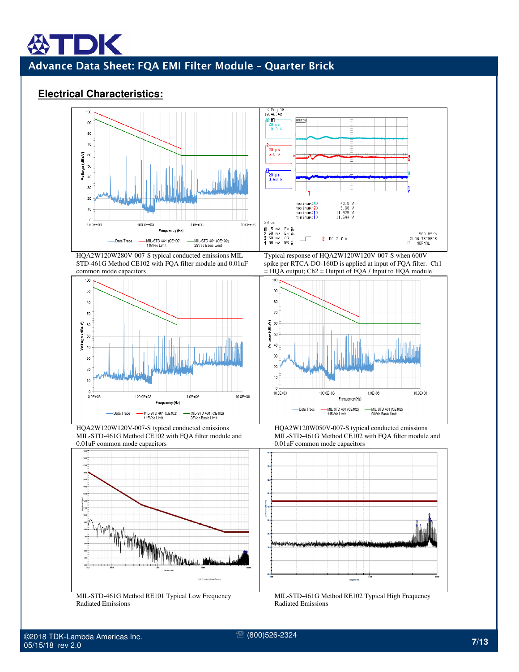#### **Electrical Characteristics:**

DK



HQA2W120W280V-007-S typical conducted emissions MIL-STD-461G Method CE102 with FQA filter module and 0.01uF common mode capacitors



HQA2W120W120V-007-S typical conducted emissions MIL-STD-461G Method CE102 with FQA filter module and 0.01uF common mode capacitors



MIL-STD-461G Method RE101 Typical Low Frequency Radiated Emissions



Typical response of HQA2W120W120V-007-S when 600V spike per RTCA-DO-160D is applied at input of FQA filter. Ch1  $=$  HQA output; Ch2 = Output of FQA / Input to HQA module



HQA2W120W050V-007-S typical conducted emissions MIL-STD-461G Method CE102 with FQA filter module and 0.01uF common mode capacitors



MIL-STD-461G Method RE102 Typical High Frequency Radiated Emissions

℡ (800)526-2324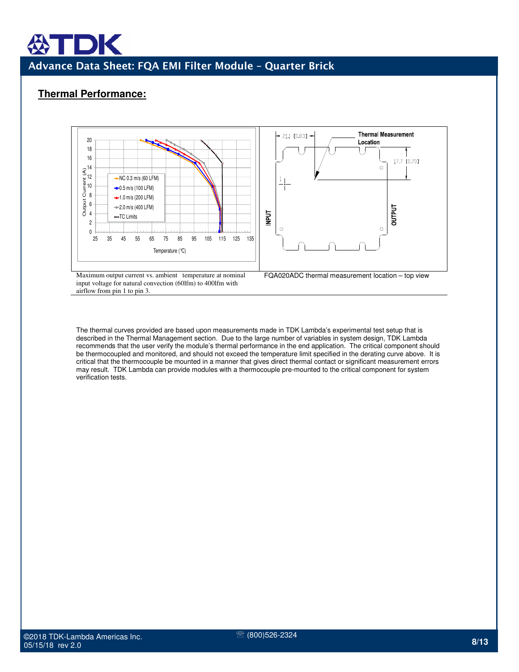#### **Thermal Performance:**



Maximum output current vs. ambient temperature at nominal input voltage for natural convection (60lfm) to 400lfm with airflow from pin 1 to pin 3.

FQA020ADC thermal measurement location – top view

The thermal curves provided are based upon measurements made in TDK Lambda's experimental test setup that is described in the Thermal Management section. Due to the large number of variables in system design, TDK Lambda recommends that the user verify the module's thermal performance in the end application. The critical component should be thermocoupled and monitored, and should not exceed the temperature limit specified in the derating curve above. It is critical that the thermocouple be mounted in a manner that gives direct thermal contact or significant measurement errors may result. TDK Lambda can provide modules with a thermocouple pre-mounted to the critical component for system verification tests.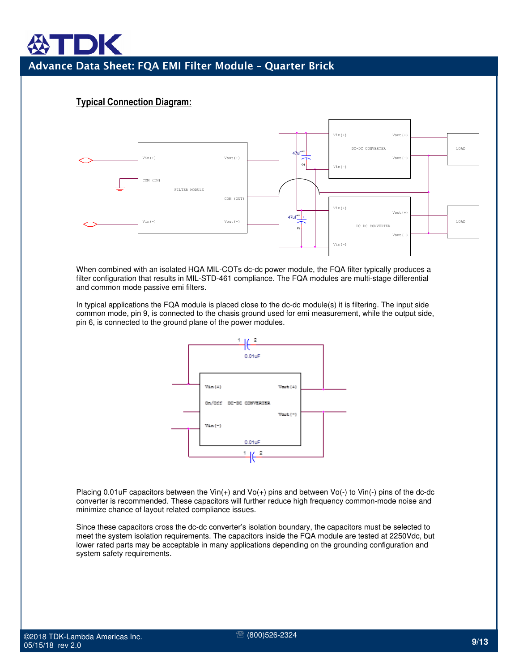#### Typical Connection Diagram:



When combined with an isolated HQA MIL-COTs dc-dc power module, the FQA filter typically produces a filter configuration that results in MIL-STD-461 compliance. The FQA modules are multi-stage differential and common mode passive emi filters.

In typical applications the FQA module is placed close to the dc-dc module(s) it is filtering. The input side common mode, pin 9, is connected to the chasis ground used for emi measurement, while the output side, pin 6, is connected to the ground plane of the power modules.



Placing 0.01uF capacitors between the Vin $(+)$  and Vo $(+)$  pins and between Vo $(+)$  to Vin $(+)$  pins of the dc-dc converter is recommended. These capacitors will further reduce high frequency common-mode noise and minimize chance of layout related compliance issues.

Since these capacitors cross the dc-dc converter's isolation boundary, the capacitors must be selected to meet the system isolation requirements. The capacitors inside the FQA module are tested at 2250Vdc, but lower rated parts may be acceptable in many applications depending on the grounding configuration and system safety requirements.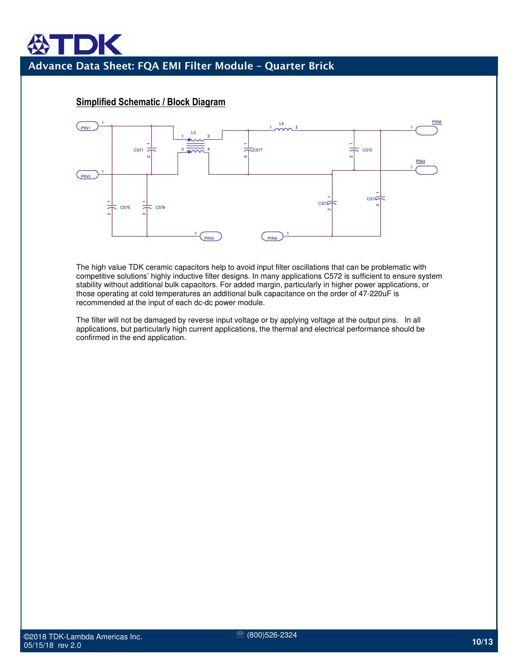

#### Simplified Schematic / Block Diagram

The high value TDK ceramic capacitors help to avoid input filter oscillations that can be problematic with competitive solutions' highly inductive filter designs. In many applications C572 is sufficient to ensure system stability without additional bulk capacitors. For added margin, particularly in higher power applications, or those operating at cold temperatures an additional bulk capacitance on the order of 47-220uF is recommended at the input of each dc-dc power module.

The filter will not be damaged by reverse input voltage or by applying voltage at the output pins. In all applications, but particularly high current applications, the thermal and electrical performance should be confirmed in the end application.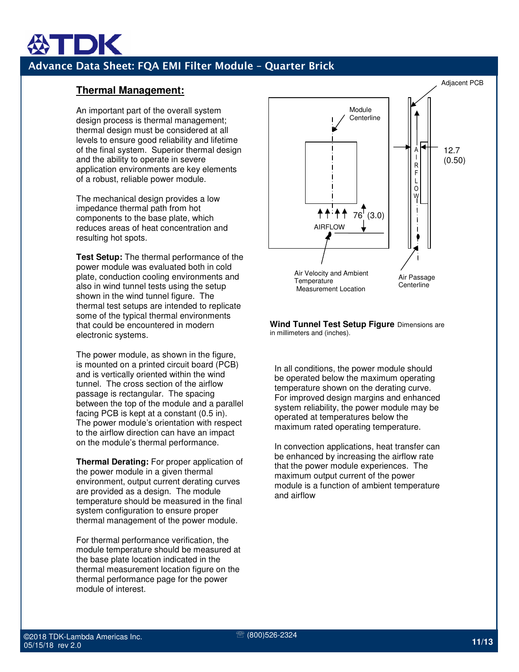#### **Thermal Management:**

An important part of the overall system design process is thermal management; thermal design must be considered at all levels to ensure good reliability and lifetime of the final system. Superior thermal design and the ability to operate in severe application environments are key elements of a robust, reliable power module.

The mechanical design provides a low impedance thermal path from hot components to the base plate, which reduces areas of heat concentration and resulting hot spots.

**Test Setup:** The thermal performance of the power module was evaluated both in cold plate, conduction cooling environments and also in wind tunnel tests using the setup shown in the wind tunnel figure. The thermal test setups are intended to replicate some of the typical thermal environments that could be encountered in modern electronic systems.

The power module, as shown in the figure, is mounted on a printed circuit board (PCB) and is vertically oriented within the wind tunnel. The cross section of the airflow passage is rectangular. The spacing between the top of the module and a parallel facing PCB is kept at a constant (0.5 in). The power module's orientation with respect to the airflow direction can have an impact on the module's thermal performance.

**Thermal Derating:** For proper application of the power module in a given thermal environment, output current derating curves are provided as a design. The module temperature should be measured in the final system configuration to ensure proper thermal management of the power module.

For thermal performance verification, the module temperature should be measured at the base plate location indicated in the thermal measurement location figure on the thermal performance page for the power module of interest.



**Wind Tunnel Test Setup Figure** Dimensions are in millimeters and (inches).

In all conditions, the power module should be operated below the maximum operating temperature shown on the derating curve. For improved design margins and enhanced system reliability, the power module may be operated at temperatures below the maximum rated operating temperature.

In convection applications, heat transfer can be enhanced by increasing the airflow rate that the power module experiences. The maximum output current of the power module is a function of ambient temperature and airflow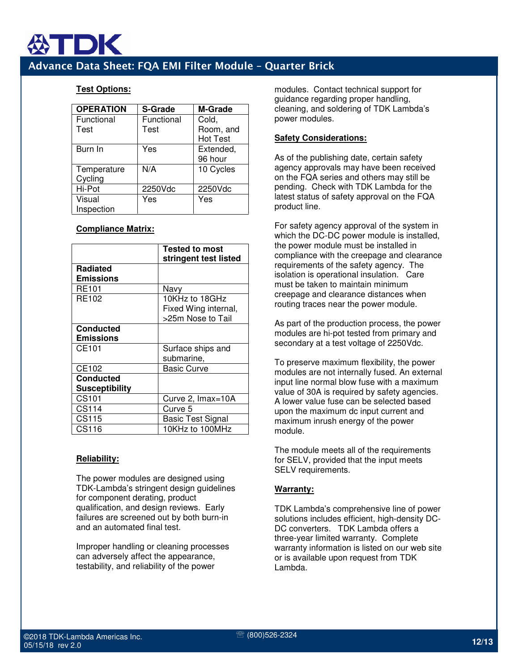

#### **Test Options:**

| <b>OPERATION</b> | <b>S-Grade</b> | <b>M-Grade</b>  |
|------------------|----------------|-----------------|
| Functional       | Functional     | Cold,           |
| Test             | Test           | Room, and       |
|                  |                | <b>Hot Test</b> |
| Burn In          | Yes            | Extended,       |
|                  |                | 96 hour         |
| Temperature      | N/A            | 10 Cycles       |
| Cycling          |                |                 |
| Hi-Pot           | 2250Vdc        | 2250Vdc         |
| Visual           | Yes            | Yes             |
| Inspection       |                |                 |

#### **Compliance Matrix:**

|                       | <b>Tested to most</b>    |
|-----------------------|--------------------------|
|                       | stringent test listed    |
| Radiated              |                          |
| <b>Emissions</b>      |                          |
| <b>RE101</b>          | Navy                     |
| RE102                 | 10KHz to 18GHz           |
|                       | Fixed Wing internal,     |
|                       | >25m Nose to Tail        |
| <b>Conducted</b>      |                          |
| <b>Emissions</b>      |                          |
| CE101                 | Surface ships and        |
|                       | submarine,               |
| CE102                 | Basic Curve              |
| <b>Conducted</b>      |                          |
| <b>Susceptibility</b> |                          |
| CS101                 | Curve 2, Imax=10A        |
| CS114                 | Curve 5                  |
| CS115                 | <b>Basic Test Signal</b> |
| CS116                 | 10KHz to 100MHz          |

#### **Reliability:**

The power modules are designed using TDK-Lambda's stringent design guidelines for component derating, product qualification, and design reviews. Early failures are screened out by both burn-in and an automated final test.

Improper handling or cleaning processes can adversely affect the appearance, testability, and reliability of the power

modules. Contact technical support for guidance regarding proper handling, cleaning, and soldering of TDK Lambda's power modules.

#### **Safety Considerations:**

As of the publishing date, certain safety agency approvals may have been received on the FQA series and others may still be pending. Check with TDK Lambda for the latest status of safety approval on the FQA product line.

For safety agency approval of the system in which the DC-DC power module is installed, the power module must be installed in compliance with the creepage and clearance requirements of the safety agency. The isolation is operational insulation. Care must be taken to maintain minimum creepage and clearance distances when routing traces near the power module.

As part of the production process, the power modules are hi-pot tested from primary and secondary at a test voltage of 2250Vdc.

To preserve maximum flexibility, the power modules are not internally fused. An external input line normal blow fuse with a maximum value of 30A is required by safety agencies. A lower value fuse can be selected based upon the maximum dc input current and maximum inrush energy of the power module.

The module meets all of the requirements for SELV, provided that the input meets SELV requirements.

#### **Warranty:**

TDK Lambda's comprehensive line of power solutions includes efficient, high-density DC-DC converters. TDK Lambda offers a three-year limited warranty. Complete warranty information is listed on our web site or is available upon request from TDK Lambda.